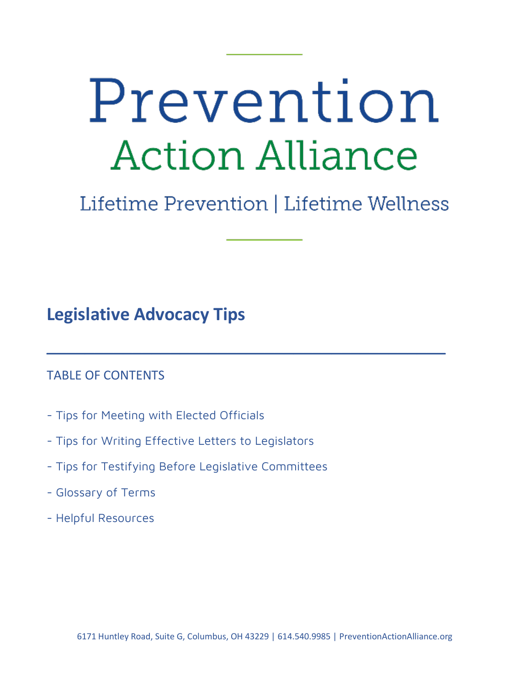# Prevention **Action Alliance**

## Lifetime Prevention | Lifetime Wellness

 $\overline{\phantom{a}}$  , and the contract of the contract of the contract of the contract of the contract of the contract of the contract of the contract of the contract of the contract of the contract of the contract of the contrac

**Legislative Advocacy Tips** 

## TABLE OF CONTENTS

- Tips for Meeting with Elected Officials
- Tips for Writing Effective Letters to Legislators
- Tips for Testifying Before Legislative Committees
- Glossary of Terms
- Helpful Resources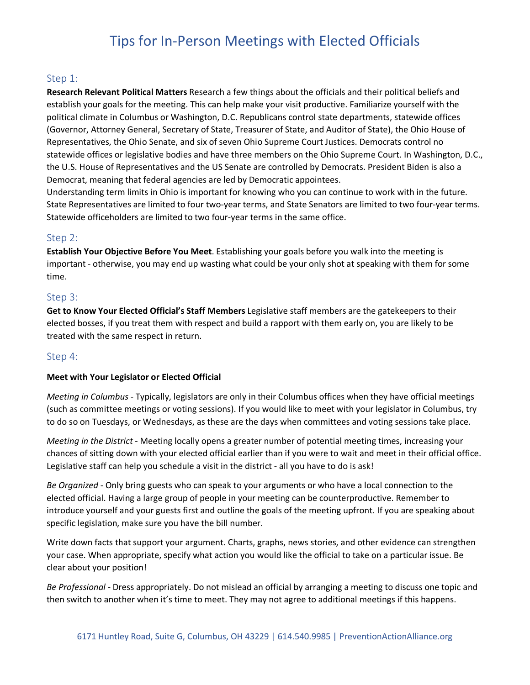## Tips for In-Person Meetings with Elected Officials

### Step 1:

**Research Relevant Political Matters** Research a few things about the officials and their political beliefs and establish your goals for the meeting. This can help make your visit productive. Familiarize yourself with the political climate in Columbus or Washington, D.C. Republicans control state departments, statewide offices (Governor, Attorney General, Secretary of State, Treasurer of State, and Auditor of State), the Ohio House of Representatives, the Ohio Senate, and six of seven Ohio Supreme Court Justices. Democrats control no statewide offices or legislative bodies and have three members on the Ohio Supreme Court. In Washington, D.C., the U.S. House of Representatives and the US Senate are controlled by Democrats. President Biden is also a Democrat, meaning that federal agencies are led by Democratic appointees.

Understanding term limits in Ohio is important for knowing who you can continue to work with in the future. State Representatives are limited to four two-year terms, and State Senators are limited to two four-year terms. Statewide officeholders are limited to two four-year terms in the same office.

#### Step 2:

**Establish Your Objective Before You Meet**. Establishing your goals before you walk into the meeting is important - otherwise, you may end up wasting what could be your only shot at speaking with them for some time.

#### Step 3:

**Get to Know Your Elected Official's Staff Members** Legislative staff members are the gatekeepers to their elected bosses, if you treat them with respect and build a rapport with them early on, you are likely to be treated with the same respect in return.

## Step 4:

#### **Meet with Your Legislator or Elected Official**

*Meeting in Columbus* - Typically, legislators are only in their Columbus offices when they have official meetings (such as committee meetings or voting sessions). If you would like to meet with your legislator in Columbus, try to do so on Tuesdays, or Wednesdays, as these are the days when committees and voting sessions take place.

*Meeting in the District* - Meeting locally opens a greater number of potential meeting times, increasing your chances of sitting down with your elected official earlier than if you were to wait and meet in their official office. Legislative staff can help you schedule a visit in the district - all you have to do is ask!

*Be Organized* - Only bring guests who can speak to your arguments or who have a local connection to the elected official. Having a large group of people in your meeting can be counterproductive. Remember to introduce yourself and your guests first and outline the goals of the meeting upfront. If you are speaking about specific legislation, make sure you have the bill number.

Write down facts that support your argument. Charts, graphs, news stories, and other evidence can strengthen your case. When appropriate, specify what action you would like the official to take on a particular issue. Be clear about your position!

*Be Professional* - Dress appropriately. Do not mislead an official by arranging a meeting to discuss one topic and then switch to another when it's time to meet. They may not agree to additional meetings if this happens.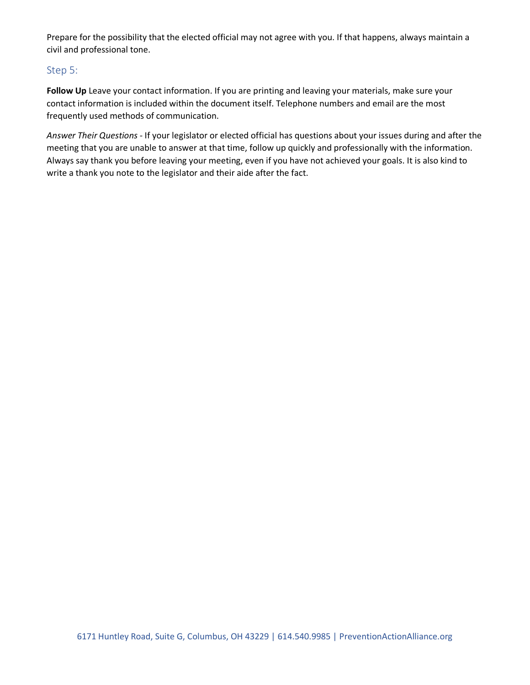Prepare for the possibility that the elected official may not agree with you. If that happens, always maintain a civil and professional tone.

## Step 5:

Follow Up Leave your contact information. If you are printing and leaving your materials, make sure your contact information is included within the document itself. Telephone numbers and email are the most frequently used methods of communication.

*Answer Their Questions* - If your legislator or elected official has questions about your issues during and after the meeting that you are unable to answer at that time, follow up quickly and professionally with the information. Always say thank you before leaving your meeting, even if you have not achieved your goals. It is also kind to write a thank you note to the legislator and their aide after the fact.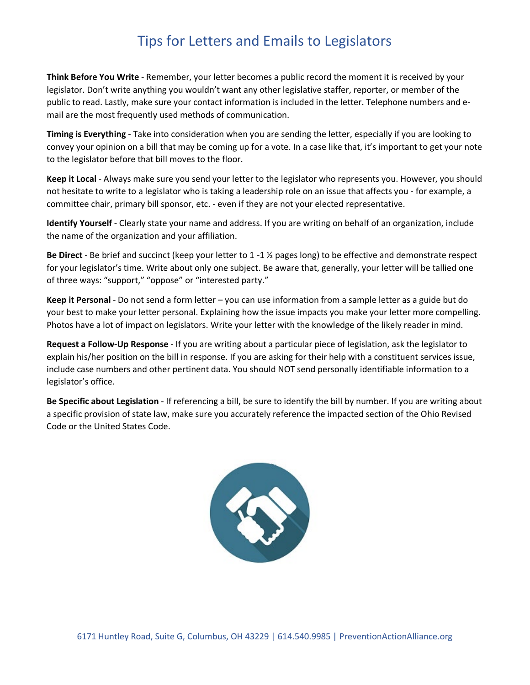## Tips for Letters and Emails to Legislators

**Think Before You Write** - Remember, your letter becomes a public record the moment it is received by your legislator. Don't write anything you wouldn't want any other legislative staffer, reporter, or member of the public to read. Lastly, make sure your contact information is included in the letter. Telephone numbers and email are the most frequently used methods of communication.

**Timing is Everything** - Take into consideration when you are sending the letter, especially if you are looking to convey your opinion on a bill that may be coming up for a vote. In a case like that, it's important to get your note to the legislator before that bill moves to the floor.

**Keep it Local** - Always make sure you send your letter to the legislator who represents you. However, you should not hesitate to write to a legislator who is taking a leadership role on an issue that affects you - for example, a committee chair, primary bill sponsor, etc. - even if they are not your elected representative.

**Identify Yourself** - Clearly state your name and address. If you are writing on behalf of an organization, include the name of the organization and your affiliation.

**Be Direct** - Be brief and succinct (keep your letter to 1 -1 ½ pages long) to be effective and demonstrate respect for your legislator's time. Write about only one subject. Be aware that, generally, your letter will be tallied one of three ways: "support," "oppose" or "interested party."

**Keep it Personal** - Do not send a form letter – you can use information from a sample letter as a guide but do your best to make your letter personal. Explaining how the issue impacts you make your letter more compelling. Photos have a lot of impact on legislators. Write your letter with the knowledge of the likely reader in mind.

**Request a Follow-Up Response** - If you are writing about a particular piece of legislation, ask the legislator to explain his/her position on the bill in response. If you are asking for their help with a constituent services issue, include case numbers and other pertinent data. You should NOT send personally identifiable information to a legislator's office.

**Be Specific about Legislation** - If referencing a bill, be sure to identify the bill by number. If you are writing about a specific provision of state law, make sure you accurately reference the impacted section of the Ohio Revised Code or the United States Code.

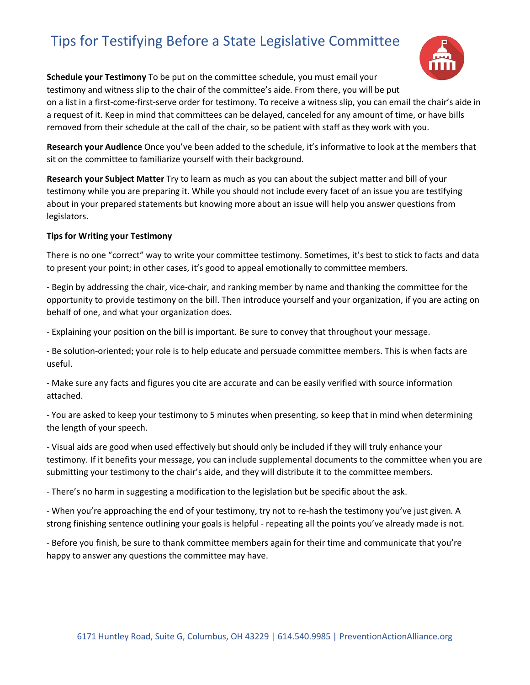## Tips for Testifying Before a State Legislative Committee



**Schedule your Testimony** To be put on the committee schedule, you must email your testimony and witness slip to the chair of the committee's aide. From there, you will be put on a list in a first-come-first-serve order for testimony. To receive a witness slip, you can email the chair's aide in a request of it. Keep in mind that committees can be delayed, canceled for any amount of time, or have bills removed from their schedule at the call of the chair, so be patient with staff as they work with you.

**Research your Audience** Once you've been added to the schedule, it's informative to look at the members that sit on the committee to familiarize yourself with their background.

**Research your Subject Matter** Try to learn as much as you can about the subject matter and bill of your testimony while you are preparing it. While you should not include every facet of an issue you are testifying about in your prepared statements but knowing more about an issue will help you answer questions from legislators.

#### **Tips for Writing your Testimony**

There is no one "correct" way to write your committee testimony. Sometimes, it's best to stick to facts and data to present your point; in other cases, it's good to appeal emotionally to committee members.

- Begin by addressing the chair, vice-chair, and ranking member by name and thanking the committee for the opportunity to provide testimony on the bill. Then introduce yourself and your organization, if you are acting on behalf of one, and what your organization does.

- Explaining your position on the bill is important. Be sure to convey that throughout your message.

- Be solution-oriented; your role is to help educate and persuade committee members. This is when facts are useful.

- Make sure any facts and figures you cite are accurate and can be easily verified with source information attached.

- You are asked to keep your testimony to 5 minutes when presenting, so keep that in mind when determining the length of your speech.

- Visual aids are good when used effectively but should only be included if they will truly enhance your testimony. If it benefits your message, you can include supplemental documents to the committee when you are submitting your testimony to the chair's aide, and they will distribute it to the committee members.

- There's no harm in suggesting a modification to the legislation but be specific about the ask.

- When you're approaching the end of your testimony, try not to re-hash the testimony you've just given. A strong finishing sentence outlining your goals is helpful - repeating all the points you've already made is not.

- Before you finish, be sure to thank committee members again for their time and communicate that you're happy to answer any questions the committee may have.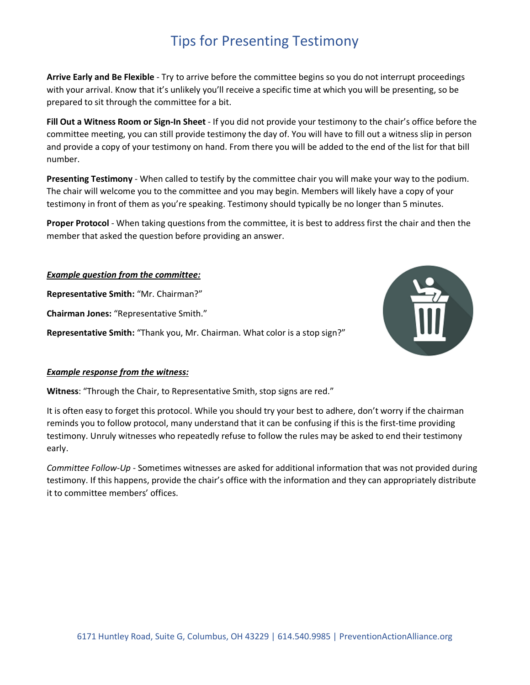## Tips for Presenting Testimony

**Arrive Early and Be Flexible** - Try to arrive before the committee begins so you do not interrupt proceedings with your arrival. Know that it's unlikely you'll receive a specific time at which you will be presenting, so be prepared to sit through the committee for a bit.

**Fill Out a Witness Room or Sign-In Sheet** - If you did not provide your testimony to the chair's office before the committee meeting, you can still provide testimony the day of. You will have to fill out a witness slip in person and provide a copy of your testimony on hand. From there you will be added to the end of the list for that bill number.

**Presenting Testimony** - When called to testify by the committee chair you will make your way to the podium. The chair will welcome you to the committee and you may begin. Members will likely have a copy of your testimony in front of them as you're speaking. Testimony should typically be no longer than 5 minutes.

**Proper Protocol** - When taking questions from the committee, it is best to address first the chair and then the member that asked the question before providing an answer.

#### *Example question from the committee:*

**Representative Smith:** "Mr. Chairman?"

**Chairman Jones:** "Representative Smith."

**Representative Smith:** "Thank you, Mr. Chairman. What color is a stop sign?"



#### *Example response from the witness:*

**Witness**: "Through the Chair, to Representative Smith, stop signs are red."

It is often easy to forget this protocol. While you should try your best to adhere, don't worry if the chairman reminds you to follow protocol, many understand that it can be confusing if this is the first-time providing testimony. Unruly witnesses who repeatedly refuse to follow the rules may be asked to end their testimony early.

*Committee Follow-Up* - Sometimes witnesses are asked for additional information that was not provided during testimony. If this happens, provide the chair's office with the information and they can appropriately distribute it to committee members' offices.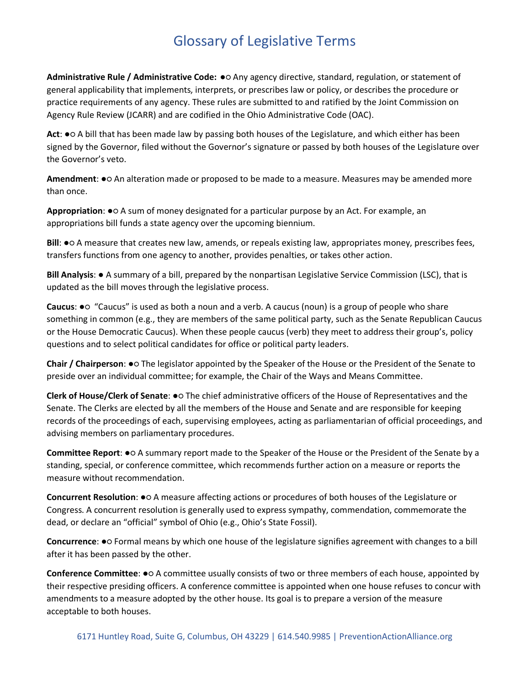## Glossary of Legislative Terms

**Administrative Rule / Administrative Code:** ●○ Any agency directive, standard, regulation, or statement of general applicability that implements, interprets, or prescribes law or policy, or describes the procedure or practice requirements of any agency. These rules are submitted to and ratified by the Joint Commission on Agency Rule Review (JCARR) and are codified in the Ohio Administrative Code (OAC).

**Act**: ●○ A bill that has been made law by passing both houses of the Legislature, and which either has been signed by the Governor, filed without the Governor's signature or passed by both houses of the Legislature over the Governor's veto.

**Amendment**: ●○ An alteration made or proposed to be made to a measure. Measures may be amended more than once.

**Appropriation**: ●○ A sum of money designated for a particular purpose by an Act. For example, an appropriations bill funds a state agency over the upcoming biennium.

**Bill: •**○ A measure that creates new law, amends, or repeals existing law, appropriates money, prescribes fees, transfers functions from one agency to another, provides penalties, or takes other action.

**Bill Analysis**: ● A summary of a bill, prepared by the nonpartisan Legislative Service Commission (LSC), that is updated as the bill moves through the legislative process.

**Caucus**: ●○ "Caucus" is used as both a noun and a verb. A caucus (noun) is a group of people who share something in common (e.g., they are members of the same political party, such as the Senate Republican Caucus or the House Democratic Caucus). When these people caucus (verb) they meet to address their group's, policy questions and to select political candidates for office or political party leaders.

**Chair / Chairperson**: ●○ The legislator appointed by the Speaker of the House or the President of the Senate to preside over an individual committee; for example, the Chair of the Ways and Means Committee.

**Clerk of House/Clerk of Senate**: ●○ The chief administrative officers of the House of Representatives and the Senate. The Clerks are elected by all the members of the House and Senate and are responsible for keeping records of the proceedings of each, supervising employees, acting as parliamentarian of official proceedings, and advising members on parliamentary procedures.

**Committee Report**: ●○ A summary report made to the Speaker of the House or the President of the Senate by a standing, special, or conference committee, which recommends further action on a measure or reports the measure without recommendation.

**Concurrent Resolution**: ●○ A measure affecting actions or procedures of both houses of the Legislature or Congress. A concurrent resolution is generally used to express sympathy, commendation, commemorate the dead, or declare an "official" symbol of Ohio (e.g., Ohio's State Fossil).

**Concurrence**: ●○ Formal means by which one house of the legislature signifies agreement with changes to a bill after it has been passed by the other.

**Conference Committee**: ●○ A committee usually consists of two or three members of each house, appointed by their respective presiding officers. A conference committee is appointed when one house refuses to concur with amendments to a measure adopted by the other house. Its goal is to prepare a version of the measure acceptable to both houses.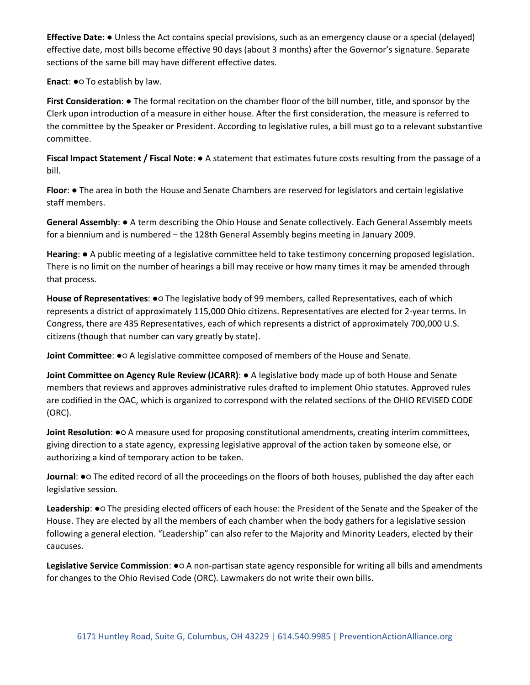**Effective Date**: ● Unless the Act contains special provisions, such as an emergency clause or a special (delayed) effective date, most bills become effective 90 days (about 3 months) after the Governor's signature. Separate sections of the same bill may have different effective dates.

**Enact: ●○ To establish by law.** 

**First Consideration**: ● The formal recitation on the chamber floor of the bill number, title, and sponsor by the Clerk upon introduction of a measure in either house. After the first consideration, the measure is referred to the committee by the Speaker or President. According to legislative rules, a bill must go to a relevant substantive committee.

**Fiscal Impact Statement / Fiscal Note**: ● A statement that estimates future costs resulting from the passage of a bill.

**Floor**: ● The area in both the House and Senate Chambers are reserved for legislators and certain legislative staff members.

**General Assembly**: ● A term describing the Ohio House and Senate collectively. Each General Assembly meets for a biennium and is numbered – the 128th General Assembly begins meeting in January 2009.

**Hearing**: ● A public meeting of a legislative committee held to take testimony concerning proposed legislation. There is no limit on the number of hearings a bill may receive or how many times it may be amended through that process.

**House of Representatives**: ●○ The legislative body of 99 members, called Representatives, each of which represents a district of approximately 115,000 Ohio citizens. Representatives are elected for 2-year terms. In Congress, there are 435 Representatives, each of which represents a district of approximately 700,000 U.S. citizens (though that number can vary greatly by state).

**Joint Committee**: ●○ A legislative committee composed of members of the House and Senate.

**Joint Committee on Agency Rule Review (JCARR)**: ● A legislative body made up of both House and Senate members that reviews and approves administrative rules drafted to implement Ohio statutes. Approved rules are codified in the OAC, which is organized to correspond with the related sections of the OHIO REVISED CODE (ORC).

**Joint Resolution**: ●○ A measure used for proposing constitutional amendments, creating interim committees, giving direction to a state agency, expressing legislative approval of the action taken by someone else, or authorizing a kind of temporary action to be taken.

**Journal**: ●○ The edited record of all the proceedings on the floors of both houses, published the day after each legislative session.

Leadership:  $\bullet$  The presiding elected officers of each house: the President of the Senate and the Speaker of the House. They are elected by all the members of each chamber when the body gathers for a legislative session following a general election. "Leadership" can also refer to the Majority and Minority Leaders, elected by their caucuses.

**Legislative Service Commission**: ●○ A non-partisan state agency responsible for writing all bills and amendments for changes to the Ohio Revised Code (ORC). Lawmakers do not write their own bills.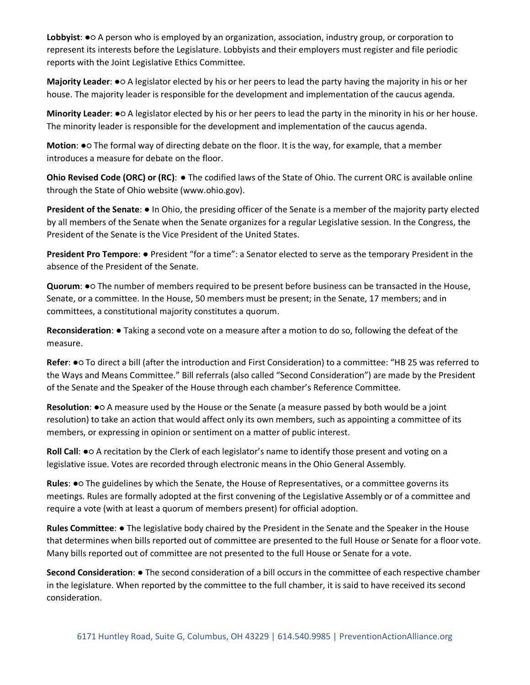**Lobbyist**: ●○ A person who is employed by an organization, association, industry group, or corporation to represent its interests before the Legislature. Lobbyists and their employers must register and file periodic reports with the Joint Legislative Ethics Committee.

**Majority Leader**: ●○ A legislator elected by his or her peers to lead the party having the majority in his or her house. The majority leader is responsible for the development and implementation of the caucus agenda.

**Minority Leader**: ●○ A legislator elected by his or her peers to lead the party in the minority in his or her house. The minority leader is responsible for the development and implementation of the caucus agenda.

**Motion**: ●○ The formal way of directing debate on the floor. It is the way, for example, that a member introduces a measure for debate on the floor.

**Ohio Revised Code (ORC) or (RC)**: ● The codified laws of the State of Ohio. The current ORC is available online through the State of Ohio website (www.ohio.gov).

**President of the Senate**: ● In Ohio, the presiding officer of the Senate is a member of the majority party elected by all members of the Senate when the Senate organizes for a regular Legislative session. In the Congress, the President of the Senate is the Vice President of the United States.

**President Pro Tempore**: ● President "for a time": a Senator elected to serve as the temporary President in the absence of the President of the Senate.

**Quorum**: ●○ The number of members required to be present before business can be transacted in the House, Senate, or a committee. In the House, 50 members must be present; in the Senate, 17 members; and in committees, a constitutional majority constitutes a quorum.

**Reconsideration**: ● Taking a second vote on a measure after a motion to do so, following the defeat of the measure.

**Refer**: ●○ To direct a bill (after the introduction and First Consideration) to a committee: "HB 25 was referred to the Ways and Means Committee." Bill referrals (also called "Second Consideration") are made by the President of the Senate and the Speaker of the House through each chamber's Reference Committee.

**Resolution**: ●○ A measure used by the House or the Senate (a measure passed by both would be a joint resolution) to take an action that would affect only its own members, such as appointing a committee of its members, or expressing in opinion or sentiment on a matter of public interest.

**Roll Call: ●○** A recitation by the Clerk of each legislator's name to identify those present and voting on a legislative issue. Votes are recorded through electronic means in the Ohio General Assembly.

**Rules**: ●○ The guidelines by which the Senate, the House of Representatives, or a committee governs its meetings. Rules are formally adopted at the first convening of the Legislative Assembly or of a committee and require a vote (with at least a quorum of members present) for official adoption.

**Rules Committee**: ● The legislative body chaired by the President in the Senate and the Speaker in the House that determines when bills reported out of committee are presented to the full House or Senate for a floor vote. Many bills reported out of committee are not presented to the full House or Senate for a vote.

**Second Consideration**: ● The second consideration of a bill occurs in the committee of each respective chamber in the legislature. When reported by the committee to the full chamber, it is said to have received its second consideration.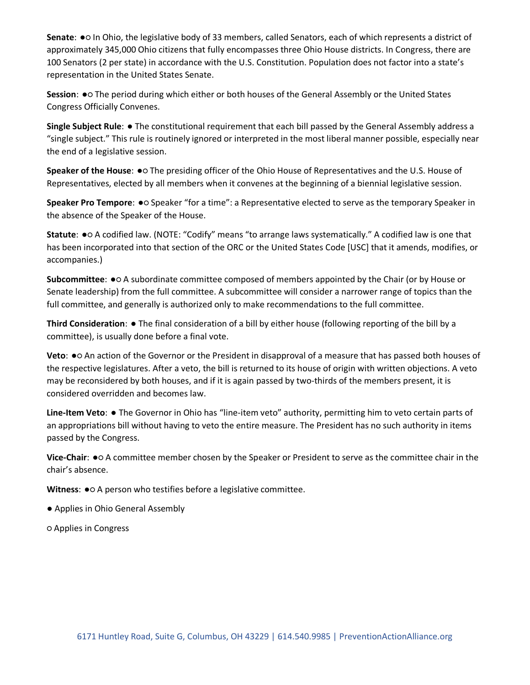**Senate**: ●○ In Ohio, the legislative body of 33 members, called Senators, each of which represents a district of approximately 345,000 Ohio citizens that fully encompasses three Ohio House districts. In Congress, there are 100 Senators (2 per state) in accordance with the U.S. Constitution. Population does not factor into a state's representation in the United States Senate.

**Session**: ●○ The period during which either or both houses of the General Assembly or the United States Congress Officially Convenes.

**Single Subject Rule**: ● The constitutional requirement that each bill passed by the General Assembly address a "single subject." This rule is routinely ignored or interpreted in the most liberal manner possible, especially near the end of a legislative session.

**Speaker of the House**: ●○ The presiding officer of the Ohio House of Representatives and the U.S. House of Representatives, elected by all members when it convenes at the beginning of a biennial legislative session.

**Speaker Pro Tempore**: ●○ Speaker "for a time": a Representative elected to serve as the temporary Speaker in the absence of the Speaker of the House.

**Statute**: ●○ A codified law. (NOTE: "Codify" means "to arrange laws systematically." A codified law is one that has been incorporated into that section of the ORC or the United States Code [USC] that it amends, modifies, or accompanies.)

**Subcommittee**: ●○ A subordinate committee composed of members appointed by the Chair (or by House or Senate leadership) from the full committee. A subcommittee will consider a narrower range of topics than the full committee, and generally is authorized only to make recommendations to the full committee.

**Third Consideration**: ● The final consideration of a bill by either house (following reporting of the bill by a committee), is usually done before a final vote.

**Veto**: ●○ An action of the Governor or the President in disapproval of a measure that has passed both houses of the respective legislatures. After a veto, the bill is returned to its house of origin with written objections. A veto may be reconsidered by both houses, and if it is again passed by two-thirds of the members present, it is considered overridden and becomes law.

**Line-Item Veto**: ● The Governor in Ohio has "line-item veto" authority, permitting him to veto certain parts of an appropriations bill without having to veto the entire measure. The President has no such authority in items passed by the Congress.

**Vice-Chair**: ●○ A committee member chosen by the Speaker or President to serve as the committee chair in the chair's absence.

**Witness: ●○ A person who testifies before a legislative committee.** 

- Applies in Ohio General Assembly
- Applies in Congress